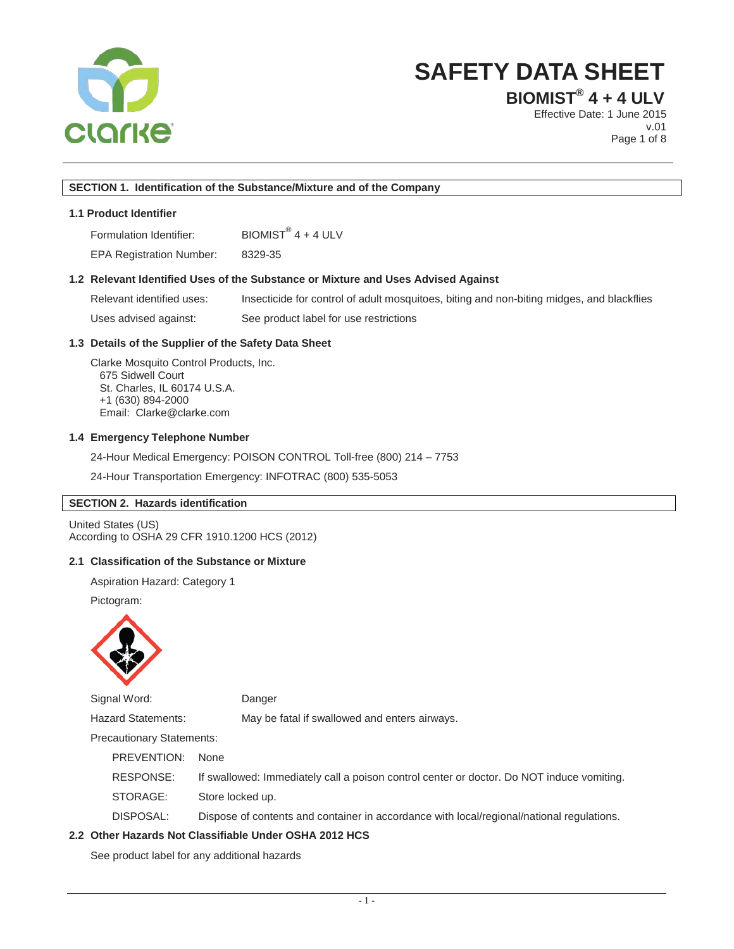

**BIOMIST® 4 + 4 ULV**

Effective Date: 1 June 2015 v.01 Page 1 of 8

#### **SECTION 1. Identification of the Substance/Mixture and of the Company**

## **1.1 Product Identifier**

Formulation Identifier:  $B IOMIST^{\circledR}$  4 + 4 ULV

EPA Registration Number: 8329-35

## **1.2 Relevant Identified Uses of the Substance or Mixture and Uses Advised Against**

Relevant identified uses: Insecticide for control of adult mosquitoes, biting and non-biting midges, and blackflies Uses advised against: See product label for use restrictions

#### **1.3 Details of the Supplier of the Safety Data Sheet**

Clarke Mosquito Control Products, Inc. 675 Sidwell Court St. Charles, IL 60174 U.S.A. +1 (630) 894-2000 Email: Clarke@clarke.com

#### **1.4 Emergency Telephone Number**

24-Hour Medical Emergency: POISON CONTROL Toll-free (800) 214 – 7753

24-Hour Transportation Emergency: INFOTRAC (800) 535-5053

#### **SECTION 2. Hazards identification**

United States (US) According to OSHA 29 CFR 1910.1200 HCS (2012)

## **2.1 Classification of the Substance or Mixture**

Aspiration Hazard: Category 1

Pictogram:



Signal Word: Danger

Hazard Statements: May be fatal if swallowed and enters airways.

Precautionary Statements:

PREVENTION:None

RESPONSE: If swallowed: Immediately call a poison control center or doctor. Do NOT induce vomiting.

STORAGE: Store locked up.

DISPOSAL: Dispose of contents and container in accordance with local/regional/national regulations.

#### **2.2 Other Hazards Not Classifiable Under OSHA 2012 HCS**

See product label for any additional hazards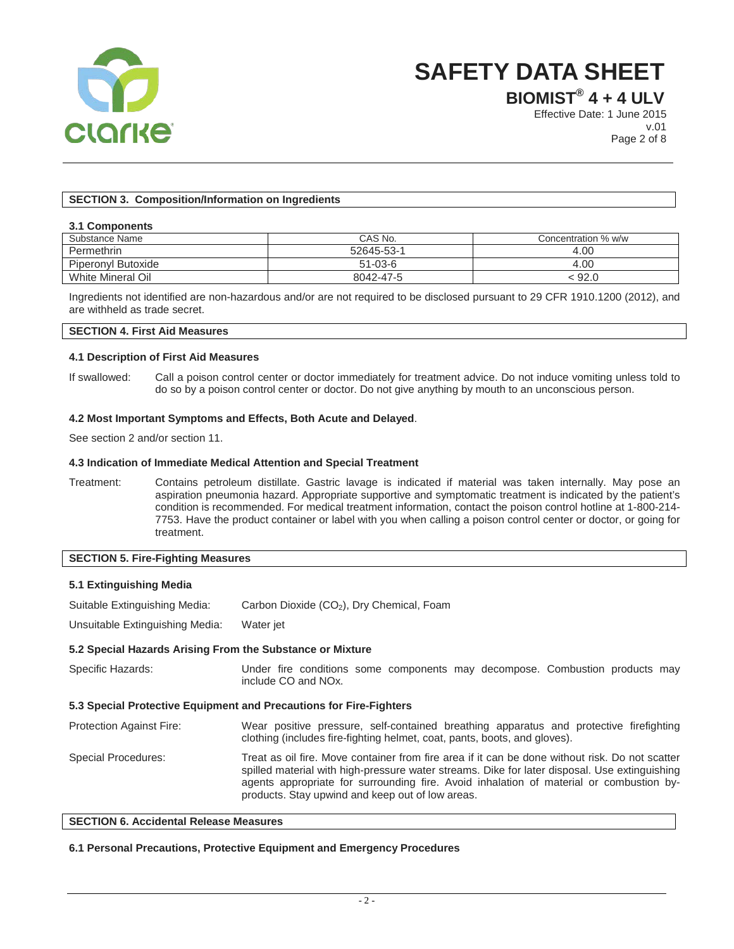

**BIOMIST® 4 + 4 ULV**

Effective Date: 1 June 2015 v.01 Page 2 of 8

## **SECTION 3. Composition/Information on Ingredients**

#### **3.1 Components**

| Substance Name     | CAS No.       | Concentration % w/w |
|--------------------|---------------|---------------------|
| Permethrin         | 52645-53-1    | 4.00                |
| Piperonyl Butoxide | $51 - 03 - 6$ | 4.00                |
| White Mineral Oil  | 8042-47-5     | : 92.0              |

Ingredients not identified are non-hazardous and/or are not required to be disclosed pursuant to 29 CFR 1910.1200 (2012), and are withheld as trade secret.

## **SECTION 4. First Aid Measures**

#### **4.1 Description of First Aid Measures**

If swallowed: Call a poison control center or doctor immediately for treatment advice. Do not induce vomiting unless told to do so by a poison control center or doctor. Do not give anything by mouth to an unconscious person.

#### **4.2 Most Important Symptoms and Effects, Both Acute and Delayed**.

See section 2 and/or section 11.

#### **4.3 Indication of Immediate Medical Attention and Special Treatment**

Treatment: Contains petroleum distillate. Gastric lavage is indicated if material was taken internally. May pose an aspiration pneumonia hazard. Appropriate supportive and symptomatic treatment is indicated by the patient's condition is recommended. For medical treatment information, contact the poison control hotline at 1-800-214- 7753. Have the product container or label with you when calling a poison control center or doctor, or going for treatment.

## **SECTION 5. Fire-Fighting Measures**

#### **5.1 Extinguishing Media**

Suitable Extinguishing Media: Carbon Dioxide (CO<sub>2</sub>), Dry Chemical, Foam

Unsuitable Extinguishing Media: Water jet

#### **5.2 Special Hazards Arising From the Substance or Mixture**

| Specific Hazards:                                                  | Under fire conditions some components may decompose. Combustion products may<br>include CO and NO <sub>x</sub> .                                                                                                                                                                                                                                |  |  |  |
|--------------------------------------------------------------------|-------------------------------------------------------------------------------------------------------------------------------------------------------------------------------------------------------------------------------------------------------------------------------------------------------------------------------------------------|--|--|--|
| 5.3 Special Protective Equipment and Precautions for Fire-Fighters |                                                                                                                                                                                                                                                                                                                                                 |  |  |  |
| <b>Protection Against Fire:</b>                                    | Wear positive pressure, self-contained breathing apparatus and protective firefighting<br>clothing (includes fire-fighting helmet, coat, pants, boots, and gloves).                                                                                                                                                                             |  |  |  |
| Special Procedures:                                                | Treat as oil fire. Move container from fire area if it can be done without risk. Do not scatter<br>spilled material with high-pressure water streams. Dike for later disposal. Use extinguishing<br>agents appropriate for surrounding fire. Avoid inhalation of material or combustion by-<br>products. Stay upwind and keep out of low areas. |  |  |  |

#### **SECTION 6. Accidental Release Measures**

#### **6.1 Personal Precautions, Protective Equipment and Emergency Procedures**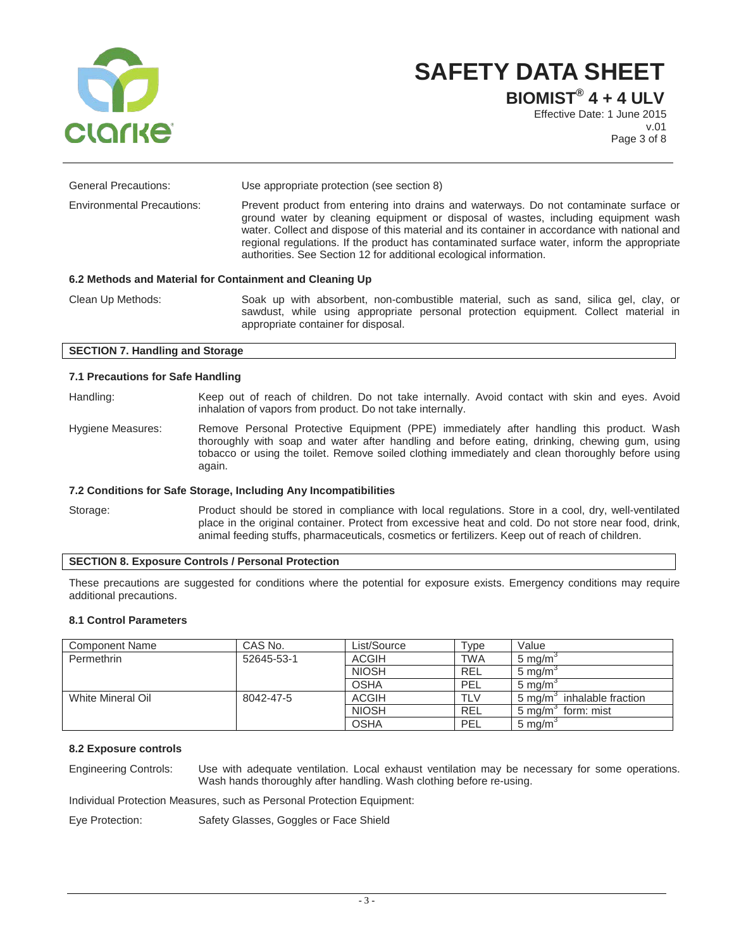

**BIOMIST® 4 + 4 ULV**

Effective Date: 1 June 2015 v.01 Page 3 of 8

| <b>General Precautions:</b>                              | Use appropriate protection (see section 8)                                                                                                                                                                                                                                                                                                                                                                                                         |  |  |  |
|----------------------------------------------------------|----------------------------------------------------------------------------------------------------------------------------------------------------------------------------------------------------------------------------------------------------------------------------------------------------------------------------------------------------------------------------------------------------------------------------------------------------|--|--|--|
| <b>Environmental Precautions:</b>                        | Prevent product from entering into drains and waterways. Do not contaminate surface or<br>ground water by cleaning equipment or disposal of wastes, including equipment wash<br>water. Collect and dispose of this material and its container in accordance with national and<br>regional regulations. If the product has contaminated surface water, inform the appropriate<br>authorities. See Section 12 for additional ecological information. |  |  |  |
| 6.2 Methods and Material for Containment and Cleaning Up |                                                                                                                                                                                                                                                                                                                                                                                                                                                    |  |  |  |
| Clean Up Methods:                                        | Soak up with absorbent, non-combustible material, such as sand, silica gel, clay, or                                                                                                                                                                                                                                                                                                                                                               |  |  |  |

sawdust, while using appropriate personal protection equipment. Collect material in appropriate container for disposal.

## **SECTION 7. Handling and Storage**

#### **7.1 Precautions for Safe Handling**

Handling: Keep out of reach of children. Do not take internally. Avoid contact with skin and eyes. Avoid inhalation of vapors from product. Do not take internally.

Hygiene Measures: Remove Personal Protective Equipment (PPE) immediately after handling this product. Wash thoroughly with soap and water after handling and before eating, drinking, chewing gum, using tobacco or using the toilet. Remove soiled clothing immediately and clean thoroughly before using again.

#### **7.2 Conditions for Safe Storage, Including Any Incompatibilities**

Storage: Product should be stored in compliance with local regulations. Store in a cool, dry, well-ventilated place in the original container. Protect from excessive heat and cold. Do not store near food, drink, animal feeding stuffs, pharmaceuticals, cosmetics or fertilizers. Keep out of reach of children.

#### **SECTION 8. Exposure Controls / Personal Protection**

These precautions are suggested for conditions where the potential for exposure exists. Emergency conditions may require additional precautions.

#### **8.1 Control Parameters**

| <b>Component Name</b> | CAS No.    | List/Source  | Type       | Value                             |
|-----------------------|------------|--------------|------------|-----------------------------------|
| Permethrin            | 52645-53-1 | <b>ACGIH</b> | <b>TWA</b> | $5 \text{ ma/m}$                  |
|                       |            | <b>NIOSH</b> | <b>REL</b> | $5 \text{ ma/m}$                  |
|                       |            | <b>OSHA</b>  | PEL        | $5 \text{ ma/m}$                  |
| White Mineral Oil     | 8042-47-5  | <b>ACGIH</b> | <b>TLV</b> | inhalable fraction<br>5 ma/m      |
|                       |            | <b>NIOSH</b> | <b>REL</b> | 5 mg/m <sup>3</sup><br>form: mist |
|                       |            | <b>OSHA</b>  | PEL        | $5 \text{ mg/m}$                  |

## **8.2 Exposure controls**

Engineering Controls: Use with adequate ventilation. Local exhaust ventilation may be necessary for some operations. Wash hands thoroughly after handling. Wash clothing before re-using.

Individual Protection Measures, such as Personal Protection Equipment:

Eye Protection: Safety Glasses, Goggles or Face Shield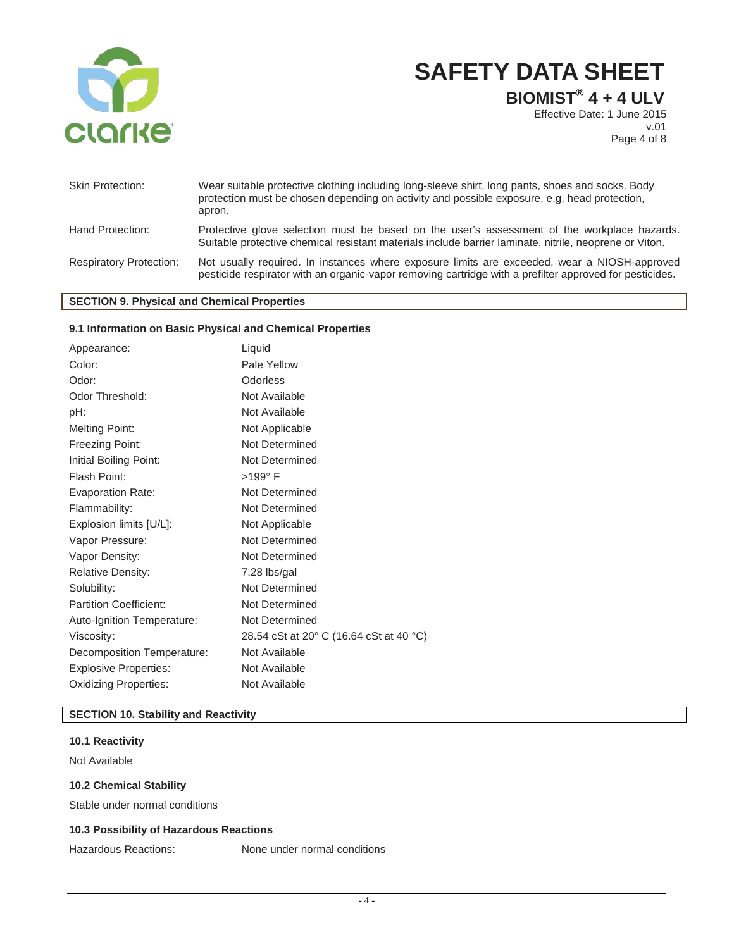

**BIOMIST® 4 + 4 ULV**

Effective Date: 1 June 2015 v.01 Page 4 of 8

| <b>Skin Protection:</b>        | Wear suitable protective clothing including long-sleeve shirt, long pants, shoes and socks. Body<br>protection must be chosen depending on activity and possible exposure, e.g. head protection,<br>apron. |
|--------------------------------|------------------------------------------------------------------------------------------------------------------------------------------------------------------------------------------------------------|
| Hand Protection:               | Protective glove selection must be based on the user's assessment of the workplace hazards.<br>Suitable protective chemical resistant materials include barrier laminate, nitrile, neoprene or Viton.      |
| <b>Respiratory Protection:</b> | Not usually required. In instances where exposure limits are exceeded, wear a NIOSH-approved<br>pesticide respirator with an organic-vapor removing cartridge with a prefilter approved for pesticides.    |

## **SECTION 9. Physical and Chemical Properties**

## **9.1 Information on Basic Physical and Chemical Properties**

| Liquid                                  |
|-----------------------------------------|
| Pale Yellow                             |
| Odorless                                |
| Not Available                           |
| Not Available                           |
| Not Applicable                          |
| Not Determined                          |
| Not Determined                          |
| $>199^\circ$ F                          |
| Not Determined                          |
| Not Determined                          |
| Not Applicable                          |
| Not Determined                          |
| Not Determined                          |
| 7.28 lbs/gal                            |
| Not Determined                          |
| Not Determined                          |
| Not Determined                          |
| 28.54 cSt at 20° C (16.64 cSt at 40 °C) |
| Not Available                           |
| Not Available                           |
| Not Available                           |
|                                         |

## **SECTION 10. Stability and Reactivity**

## **10.1 Reactivity**

Not Available

#### **10.2 Chemical Stability**

Stable under normal conditions

## **10.3 Possibility of Hazardous Reactions**

Hazardous Reactions: None under normal conditions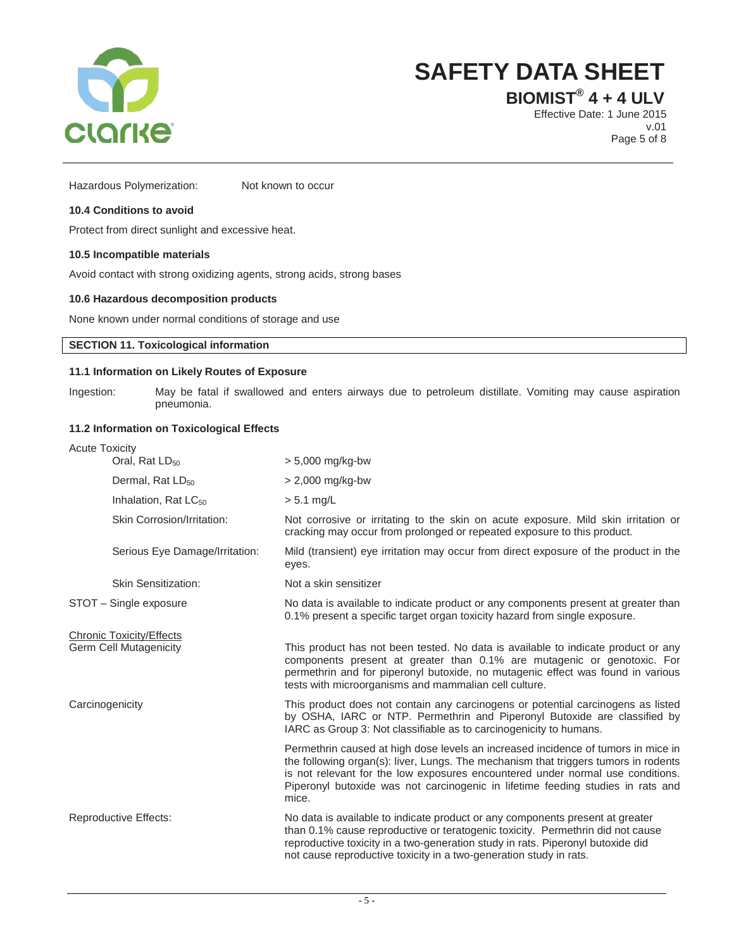

**BIOMIST® 4 + 4 ULV**

Effective Date: 1 June 2015 v.01 Page 5 of 8

Hazardous Polymerization: Not known to occur

## **10.4 Conditions to avoid**

Protect from direct sunlight and excessive heat.

#### **10.5 Incompatible materials**

Avoid contact with strong oxidizing agents, strong acids, strong bases

#### **10.6 Hazardous decomposition products**

None known under normal conditions of storage and use

## **SECTION 11. Toxicological information**

#### **11.1 Information on Likely Routes of Exposure**

Ingestion: May be fatal if swallowed and enters airways due to petroleum distillate. Vomiting may cause aspiration pneumonia.

## **11.2 Information on Toxicological Effects**

| <b>Acute Toxicity</b>        |                                                                  |                                                                                                                                                                                                                                                                                                                                                        |  |
|------------------------------|------------------------------------------------------------------|--------------------------------------------------------------------------------------------------------------------------------------------------------------------------------------------------------------------------------------------------------------------------------------------------------------------------------------------------------|--|
|                              | Oral, Rat LD <sub>50</sub>                                       | $> 5,000$ mg/kg-bw                                                                                                                                                                                                                                                                                                                                     |  |
|                              | Dermal, Rat LD <sub>50</sub>                                     | > 2,000 mg/kg-bw                                                                                                                                                                                                                                                                                                                                       |  |
|                              | Inhalation, Rat LC <sub>50</sub>                                 | $> 5.1$ mg/L                                                                                                                                                                                                                                                                                                                                           |  |
|                              | Skin Corrosion/Irritation:                                       | Not corrosive or irritating to the skin on acute exposure. Mild skin irritation or<br>cracking may occur from prolonged or repeated exposure to this product.                                                                                                                                                                                          |  |
|                              | Serious Eye Damage/Irritation:                                   | Mild (transient) eye irritation may occur from direct exposure of the product in the<br>eyes.                                                                                                                                                                                                                                                          |  |
|                              | <b>Skin Sensitization:</b>                                       | Not a skin sensitizer                                                                                                                                                                                                                                                                                                                                  |  |
|                              | STOT - Single exposure                                           | No data is available to indicate product or any components present at greater than<br>0.1% present a specific target organ toxicity hazard from single exposure.                                                                                                                                                                                       |  |
|                              | <b>Chronic Toxicity/Effects</b><br><b>Germ Cell Mutagenicity</b> | This product has not been tested. No data is available to indicate product or any<br>components present at greater than 0.1% are mutagenic or genotoxic. For<br>permethrin and for piperonyl butoxide, no mutagenic effect was found in various<br>tests with microorganisms and mammalian cell culture.                                               |  |
| Carcinogenicity              |                                                                  | This product does not contain any carcinogens or potential carcinogens as listed<br>by OSHA, IARC or NTP. Permethrin and Piperonyl Butoxide are classified by<br>IARC as Group 3: Not classifiable as to carcinogenicity to humans.                                                                                                                    |  |
|                              |                                                                  | Permethrin caused at high dose levels an increased incidence of tumors in mice in<br>the following organ(s): liver, Lungs. The mechanism that triggers tumors in rodents<br>is not relevant for the low exposures encountered under normal use conditions.<br>Piperonyl butoxide was not carcinogenic in lifetime feeding studies in rats and<br>mice. |  |
| <b>Reproductive Effects:</b> |                                                                  | No data is available to indicate product or any components present at greater<br>than 0.1% cause reproductive or teratogenic toxicity. Permethrin did not cause<br>reproductive toxicity in a two-generation study in rats. Piperonyl butoxide did<br>not cause reproductive toxicity in a two-generation study in rats.                               |  |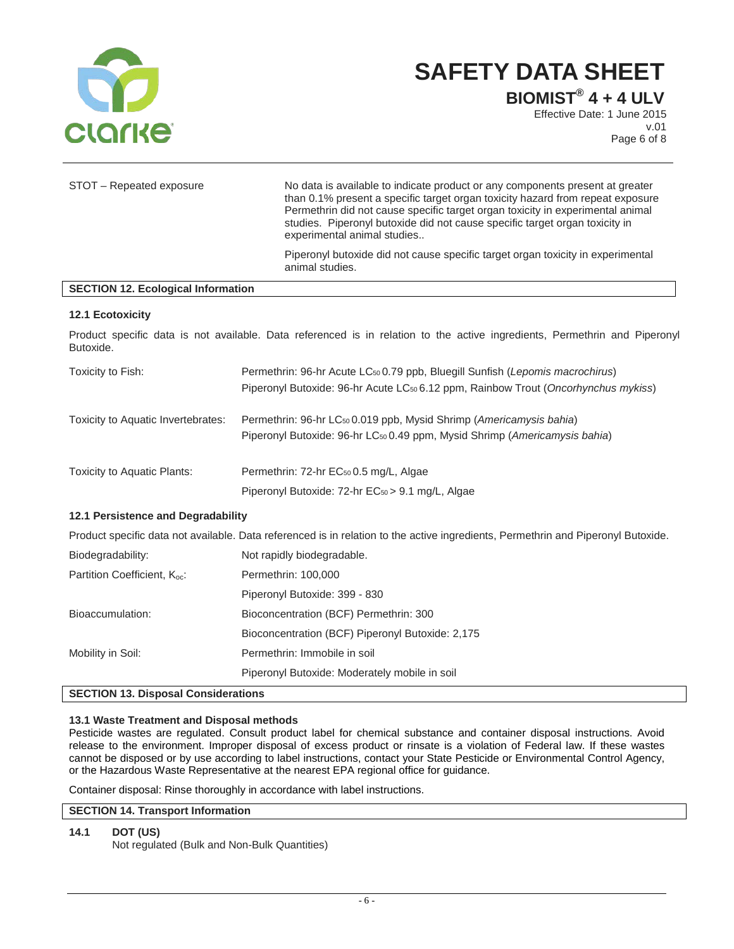

**BIOMIST® 4 + 4 ULV**

Effective Date: 1 June 2015 v.01 Page 6 of 8

| STOT - Repeated exposure                                                                                                          | No data is available to indicate product or any components present at greater<br>than 0.1% present a specific target organ toxicity hazard from repeat exposure<br>Permethrin did not cause specific target organ toxicity in experimental animal<br>studies. Piperonyl butoxide did not cause specific target organ toxicity in<br>experimental animal studies |  |  |
|-----------------------------------------------------------------------------------------------------------------------------------|-----------------------------------------------------------------------------------------------------------------------------------------------------------------------------------------------------------------------------------------------------------------------------------------------------------------------------------------------------------------|--|--|
|                                                                                                                                   | Piperonyl butoxide did not cause specific target organ toxicity in experimental<br>animal studies.                                                                                                                                                                                                                                                              |  |  |
| <b>SECTION 12. Ecological Information</b>                                                                                         |                                                                                                                                                                                                                                                                                                                                                                 |  |  |
| 12.1 Ecotoxicity                                                                                                                  |                                                                                                                                                                                                                                                                                                                                                                 |  |  |
| Butoxide.                                                                                                                         | Product specific data is not available. Data referenced is in relation to the active ingredients, Permethrin and Piperonyl                                                                                                                                                                                                                                      |  |  |
| Toxicity to Fish:                                                                                                                 | Permethrin: 96-hr Acute LC <sub>50</sub> 0.79 ppb, Bluegill Sunfish (Lepomis macrochirus)<br>Piperonyl Butoxide: 96-hr Acute LC <sub>50</sub> 6.12 ppm, Rainbow Trout (Oncorhynchus mykiss)                                                                                                                                                                     |  |  |
| Toxicity to Aquatic Invertebrates:                                                                                                | Permethrin: 96-hr LC <sub>50</sub> 0.019 ppb, Mysid Shrimp (Americamysis bahia)<br>Piperonyl Butoxide: 96-hr LC50 0.49 ppm, Mysid Shrimp (Americamysis bahia)                                                                                                                                                                                                   |  |  |
| Toxicity to Aquatic Plants:                                                                                                       | Permethrin: 72-hr EC <sub>50</sub> 0.5 mg/L, Algae                                                                                                                                                                                                                                                                                                              |  |  |
|                                                                                                                                   | Piperonyl Butoxide: 72-hr EC <sub>50</sub> > 9.1 mg/L, Algae                                                                                                                                                                                                                                                                                                    |  |  |
| 12.1 Persistence and Degradability                                                                                                |                                                                                                                                                                                                                                                                                                                                                                 |  |  |
| Product specific data not available. Data referenced is in relation to the active ingredients, Permethrin and Piperonyl Butoxide. |                                                                                                                                                                                                                                                                                                                                                                 |  |  |
| Biodegradability:                                                                                                                 | Not rapidly biodegradable.                                                                                                                                                                                                                                                                                                                                      |  |  |
| Partition Coefficient, Koc:                                                                                                       | Permethrin: 100,000                                                                                                                                                                                                                                                                                                                                             |  |  |
|                                                                                                                                   | Piperonyl Butoxide: 399 - 830                                                                                                                                                                                                                                                                                                                                   |  |  |
| Bioaccumulation:                                                                                                                  | Bioconcentration (BCF) Permethrin: 300                                                                                                                                                                                                                                                                                                                          |  |  |
|                                                                                                                                   | Bioconcentration (BCF) Piperonyl Butoxide: 2,175                                                                                                                                                                                                                                                                                                                |  |  |
| Mobility in Soil:                                                                                                                 | Permethrin: Immobile in soil                                                                                                                                                                                                                                                                                                                                    |  |  |
|                                                                                                                                   | Piperonyl Butoxide: Moderately mobile in soil                                                                                                                                                                                                                                                                                                                   |  |  |

## **SECTION 13. Disposal Considerations**

## **13.1 Waste Treatment and Disposal methods**

Pesticide wastes are regulated. Consult product label for chemical substance and container disposal instructions. Avoid release to the environment. Improper disposal of excess product or rinsate is a violation of Federal law. If these wastes cannot be disposed or by use according to label instructions, contact your State Pesticide or Environmental Control Agency, or the Hazardous Waste Representative at the nearest EPA regional office for guidance.

Container disposal: Rinse thoroughly in accordance with label instructions.

## **SECTION 14. Transport Information**

## **14.1 DOT (US)**

Not regulated (Bulk and Non-Bulk Quantities)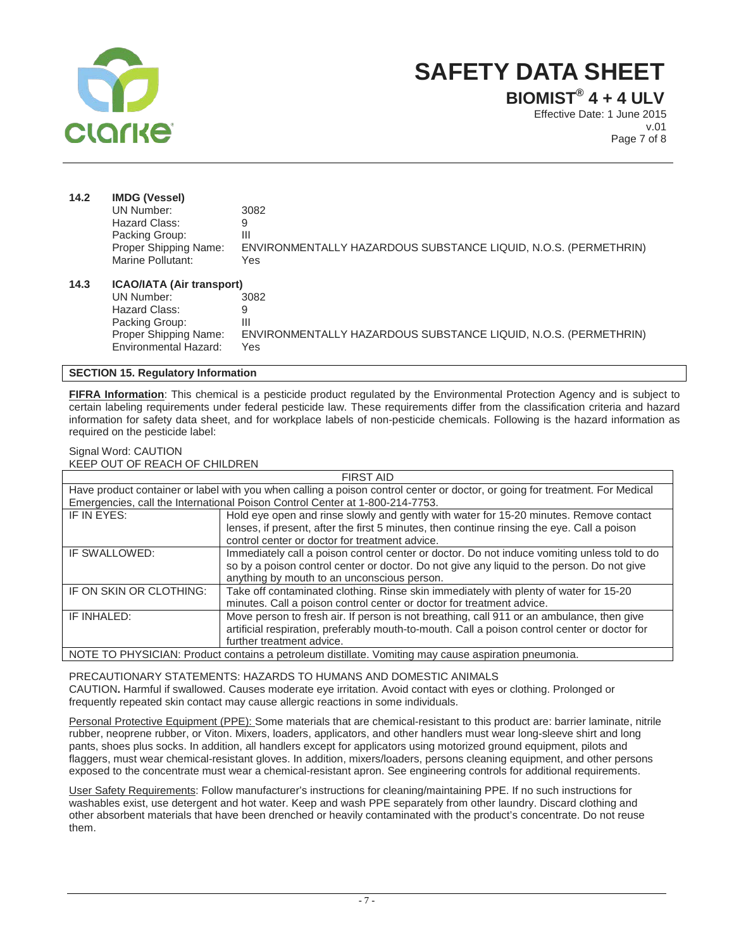

**BIOMIST® 4 + 4 ULV**

Effective Date: 1 June 2015 v.01 Page 7 of 8

| 14.2 | <b>IMDG (Vessel)</b>             |                                                                 |  |
|------|----------------------------------|-----------------------------------------------------------------|--|
|      | UN Number:                       | 3082                                                            |  |
|      | Hazard Class:                    | 9                                                               |  |
|      | Packing Group:                   | Ш                                                               |  |
|      | Proper Shipping Name:            | ENVIRONMENTALLY HAZARDOUS SUBSTANCE LIQUID, N.O.S. (PERMETHRIN) |  |
|      | Marine Pollutant:                | Yes                                                             |  |
| 14.3 | <b>ICAO/IATA (Air transport)</b> |                                                                 |  |
|      | UN Number:                       | 3082                                                            |  |
|      | Hazard Class:                    | 9                                                               |  |
|      | Packing Group:                   | Ш                                                               |  |
|      | Proper Shipping Name:            | ENVIRONMENTALLY HAZARDOUS SUBSTANCE LIQUID, N.O.S. (PERMETHRIN) |  |
|      | Environmental Hazard:            | Yes                                                             |  |

## **SECTION 15. Regulatory Information**

**FIFRA Information**: This chemical is a pesticide product regulated by the Environmental Protection Agency and is subject to certain labeling requirements under federal pesticide law. These requirements differ from the classification criteria and hazard information for safety data sheet, and for workplace labels of non-pesticide chemicals. Following is the hazard information as required on the pesticide label:

#### Signal Word: CAUTION KEEP OUT OF REACH OF CHILDREN

| <b>FIRST AID</b>                                                                                     |                                                                                                                              |  |  |
|------------------------------------------------------------------------------------------------------|------------------------------------------------------------------------------------------------------------------------------|--|--|
|                                                                                                      | Have product container or label with you when calling a poison control center or doctor, or going for treatment. For Medical |  |  |
|                                                                                                      | Emergencies, call the International Poison Control Center at 1-800-214-7753.                                                 |  |  |
| IF IN EYES:                                                                                          | Hold eye open and rinse slowly and gently with water for 15-20 minutes. Remove contact                                       |  |  |
|                                                                                                      | lenses, if present, after the first 5 minutes, then continue rinsing the eye. Call a poison                                  |  |  |
|                                                                                                      | control center or doctor for treatment advice.                                                                               |  |  |
| IF SWALLOWED:                                                                                        | Immediately call a poison control center or doctor. Do not induce vomiting unless told to do                                 |  |  |
|                                                                                                      | so by a poison control center or doctor. Do not give any liquid to the person. Do not give                                   |  |  |
|                                                                                                      | anything by mouth to an unconscious person.                                                                                  |  |  |
| IF ON SKIN OR CLOTHING:                                                                              | Take off contaminated clothing. Rinse skin immediately with plenty of water for 15-20                                        |  |  |
|                                                                                                      | minutes. Call a poison control center or doctor for treatment advice.                                                        |  |  |
| IF INHALED:                                                                                          | Move person to fresh air. If person is not breathing, call 911 or an ambulance, then give                                    |  |  |
|                                                                                                      | artificial respiration, preferably mouth-to-mouth. Call a poison control center or doctor for                                |  |  |
|                                                                                                      | further treatment advice.                                                                                                    |  |  |
| NOTE TO PHYSICIAN: Product contains a petroleum distillate. Vomiting may cause aspiration pneumonia. |                                                                                                                              |  |  |

PRECAUTIONARY STATEMENTS: HAZARDS TO HUMANS AND DOMESTIC ANIMALS CAUTION**.** Harmful if swallowed. Causes moderate eye irritation. Avoid contact with eyes or clothing. Prolonged or frequently repeated skin contact may cause allergic reactions in some individuals.

Personal Protective Equipment (PPE): Some materials that are chemical-resistant to this product are: barrier laminate, nitrile rubber, neoprene rubber, or Viton. Mixers, loaders, applicators, and other handlers must wear long-sleeve shirt and long pants, shoes plus socks. In addition, all handlers except for applicators using motorized ground equipment, pilots and flaggers, must wear chemical-resistant gloves. In addition, mixers/loaders, persons cleaning equipment, and other persons exposed to the concentrate must wear a chemical-resistant apron. See engineering controls for additional requirements.

User Safety Requirements: Follow manufacturer's instructions for cleaning/maintaining PPE. If no such instructions for washables exist, use detergent and hot water. Keep and wash PPE separately from other laundry. Discard clothing and other absorbent materials that have been drenched or heavily contaminated with the product's concentrate. Do not reuse them.